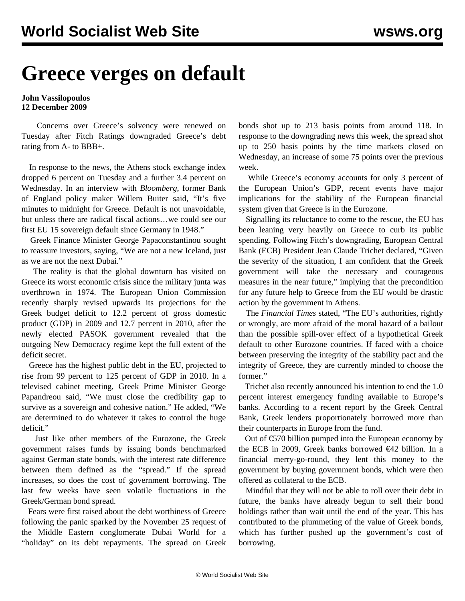## **Greece verges on default**

## **John Vassilopoulos 12 December 2009**

 Concerns over Greece's solvency were renewed on Tuesday after Fitch Ratings downgraded Greece's debt rating from A- to BBB+.

 In response to the news, the Athens stock exchange index dropped 6 percent on Tuesday and a further 3.4 percent on Wednesday. In an interview with *Bloomberg*, former Bank of England policy maker Willem Buiter said, "It's five minutes to midnight for Greece. Default is not unavoidable, but unless there are radical fiscal actions…we could see our first EU 15 sovereign default since Germany in 1948."

 Greek Finance Minister George Papaconstantinou sought to reassure investors, saying, "We are not a new Iceland, just as we are not the next Dubai."

 The reality is that the global downturn has visited on Greece its worst economic crisis since the military junta was overthrown in 1974. The European Union Commission recently sharply revised upwards its projections for the Greek budget deficit to 12.2 percent of gross domestic product (GDP) in 2009 and 12.7 percent in 2010, after the newly elected PASOK government revealed that the outgoing New Democracy regime kept the full extent of the deficit secret.

 Greece has the highest public debt in the EU, projected to rise from 99 percent to 125 percent of GDP in 2010. In a televised cabinet meeting, Greek Prime Minister George Papandreou said, "We must close the credibility gap to survive as a sovereign and cohesive nation." He added, "We are determined to do whatever it takes to control the huge deficit."

 Just like other members of the Eurozone, the Greek government raises funds by issuing bonds benchmarked against German state bonds, with the interest rate difference between them defined as the "spread." If the spread increases, so does the cost of government borrowing. The last few weeks have seen volatile fluctuations in the Greek/German bond spread.

 Fears were first raised about the debt worthiness of Greece following the panic sparked by the November 25 request of the Middle Eastern conglomerate Dubai World for a "holiday" on its debt repayments. The spread on Greek bonds shot up to 213 basis points from around 118. In response to the downgrading news this week, the spread shot up to 250 basis points by the time markets closed on Wednesday, an increase of some 75 points over the previous week.

 While Greece's economy accounts for only 3 percent of the European Union's GDP, recent events have major implications for the stability of the European financial system given that Greece is in the Eurozone.

 Signalling its reluctance to come to the rescue, the EU has been leaning very heavily on Greece to curb its public spending. Following Fitch's downgrading, European Central Bank (ECB) President Jean Claude Trichet declared, "Given the severity of the situation, I am confident that the Greek government will take the necessary and courageous measures in the near future," implying that the precondition for any future help to Greece from the EU would be drastic action by the government in Athens.

 The *Financial Times* stated, "The EU's authorities, rightly or wrongly, are more afraid of the moral hazard of a bailout than the possible spill-over effect of a hypothetical Greek default to other Eurozone countries. If faced with a choice between preserving the integrity of the stability pact and the integrity of Greece, they are currently minded to choose the former."

 Trichet also recently announced his intention to end the 1.0 percent interest emergency funding available to Europe's banks. According to a recent report by the Greek Central Bank, Greek lenders proportionately borrowed more than their counterparts in Europe from the fund.

 Out of €570 billion pumped into the European economy by the ECB in 2009, Greek banks borrowed  $\epsilon$ 42 billion. In a financial merry-go-round, they lent this money to the government by buying government bonds, which were then offered as collateral to the ECB.

 Mindful that they will not be able to roll over their debt in future, the banks have already begun to sell their bond holdings rather than wait until the end of the year. This has contributed to the plummeting of the value of Greek bonds, which has further pushed up the government's cost of borrowing.